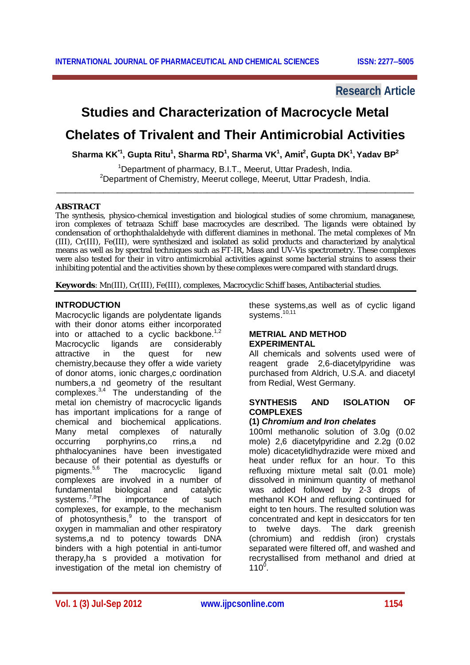# **Research Article**

# **Studies and Characterization of Macrocycle Metal**

# **Chelates of Trivalent and Their Antimicrobial Activities**

**Sharma KK\*1, Gupta Ritu<sup>1</sup> , Sharma RD 1 , Sharma VK 1 , Amit<sup>2</sup> , Gupta DK 1 , Yadav BP<sup>2</sup>**

<sup>1</sup>Department of pharmacy, B.I.T., Meerut, Uttar Pradesh, India. <sup>2</sup>Department of Chemistry, Meerut college, Meerut, Uttar Pradesh, India. \_\_\_\_\_\_\_\_\_\_\_\_\_\_\_\_\_\_\_\_\_\_\_\_\_\_\_\_\_\_\_\_\_\_\_\_\_\_\_\_\_\_\_\_\_\_\_\_\_\_\_\_\_\_\_\_\_\_\_\_\_\_\_\_\_\_\_\_\_\_\_\_\_\_\_\_

#### **ABSTRACT**

The synthesis, physico-chemical investigation and biological studies of some chromium, managanese, iron complexes of tetraaza Schiff base macrocycles are described. The ligands were obtained by condensation of *ortho*phthalaldehyde with different diamines in methonal. The metal complexes of Mn (III), Cr(III), Fe(III), were synthesized and isolated as solid products and characterized by analytical means as well as by spectral techniques such as FT-IR, Mass and UV-Vis spectrometry. These complexes were also tested for their *in vitro* antimicrobial activities against some bacterial strains to assess their inhibiting potential and the activities shown by these complexes were compared with standard drugs.

**Keywords**: Mn(III), Cr(III), Fe(III), complexes, Macrocyclic Schiff bases, Antibacterial studies.

# **INTRODUCTION**

Macrocyclic ligands are polydentate ligands with their donor atoms either incorporated into or attached to a cyclic backbone.<sup>1</sup>*,*<sup>2</sup> Macrocyclic ligands are considerably attractive in the quest for new chemistry,because they offer a wide variety of donor atoms, ionic charges,c oordination numbers,a nd geometry of the resultant complexes.<sup>3,4</sup> The understanding of the metal ion chemistry of macrocyclic ligands has important implications for a range of chemical and biochemical applications. Many metal complexes of naturally occurring porphyrins,co rrins,a nd phthalocyanines have been investigated because of their potential as dyestuffs or pigments.<sup>5,6</sup> The macrocyclic ligand complexes are involved in a number of fundamental biological and catalytic systems.<sup>7,8</sup>The importance of such complexes, for example, to the mechanism of photosynthesis,<sup>9</sup> to the transport of oxygen in mammalian and other respiratory systems,a nd to potency towards DNA binders with a high potential in anti-tumor therapy,ha s provided a motivation for investigation of the metal ion chemistry of

these systems,as well as of cyclic ligand systems.<sup>10,11</sup>

#### **METRIAL AND METHOD EXPERIMENTAL**

All chemicals and solvents used were of reagent grade 2,6-diacetylpyridine was purchased from Aldrich, U.S.A. and diacetyl from Redial, West Germany.

#### **SYNTHESIS AND ISOLATION OF COMPLEXES**

#### **(1)** *Chromium and Iron chelates*

100ml methanolic solution of 3.0g (0.02 mole) 2,6 diacetylpyridine and 2.2g (0.02 mole) dicacetylidhydrazide were mixed and heat under reflux for an hour. To this refluxing mixture metal salt (0.01 mole) dissolved in minimum quantity of methanol was added followed by 2-3 drops of methanol KOH and refluxing continued for eight to ten hours. The resulted solution was concentrated and kept in desiccators for ten to twelve days. The dark greenish (chromium) and reddish (iron) crystals separated were filtered off, and washed and recrystallised from methanol and dried at  $110^0$ .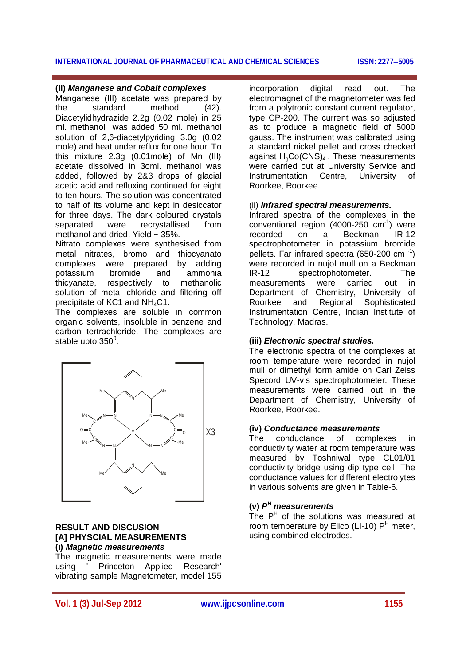#### **(II)** *Manganese and Cobalt complexes*

Manganese (III) acetate was prepared by the standard method (42). Diacetylidhydrazide 2.2g (0.02 mole) in 25 ml. methanol was added 50 ml. methanol solution of 2,6-diacetylpyriding 3.0g (0.02 mole) and heat under reflux for one hour. To this mixture 2.3g (0.01mole) of Mn (III) acetate dissolved in 3oml. methanol was added, followed by 2&3 drops of glacial acetic acid and refluxing continued for eight to ten hours. The solution was concentrated to half of its volume and kept in desiccator for three days. The dark coloured crystals separated were recrystallised from methanol and dried. Yield ~ 35%.

Nitrato complexes were synthesised from metal nitrates, bromo and thiocyanato complexes were prepared by adding potassium bromide and ammonia thicyanate, respectively to methanolic solution of metal chloride and filtering off precipitate of KC1 and NH<sub>4</sub>C1.

The complexes are soluble in common organic solvents, insoluble in benzene and carbon tertrachloride. The complexes are stable upto 350 $^{\circ}$ .



#### **RESULT AND DISCUSION [A] PHYSCIAL MEASUREMENTS (i)** *Magnetic measurements*

The magnetic measurements were made using ' Princeton Applied Research' vibrating sample Magnetometer, model 155 incorporation digital read out. The electromagnet of the magnetometer was fed from a polytronic constant current regulator, type CP-200. The current was so adjusted as to produce a magnetic field of 5000 gauss. The instrument was calibrated using a standard nickel pellet and cross checked against  $H_0Co(CNS)_4$ . These measurements were carried out at University Service and Instrumentation Centre, University of Roorkee, Roorkee.

#### (ii) *Infrared spectral measurements.*

Infrared spectra of the complexes in the conventional region (4000-250 cm-1 ) were recorded on a Beckman IR-12 spectrophotometer in potassium bromide pellets. Far infrared spectra (650-200 cm $^{-1}$ ) were recorded in nujol mull on a Beckman<br>IR-12 spectrophotometer. The spectrophotometer. The measurements were carried out in Department of Chemistry, University of Roorkee and Regional Sophisticated Instrumentation Centre, Indian Institute of Technology, Madras.

#### **(iii)** *Electronic spectral studies.*

The electronic spectra of the complexes at room temperature were recorded in nujol mull or dimethyl form amide on Carl Zeiss Specord UV-vis spectrophotometer. These measurements were carried out in the Department of Chemistry, University of Roorkee, Roorkee.

#### **(iv)** *Conductance measurements*

The conductance of complexes in conductivity water at room temperature was measured by Toshniwal type CL01/01 conductivity bridge using dip type cell. The conductance values for different electrolytes in various solvents are given in Table-6.

# **(v)** *P <sup>H</sup> measurements*

The  $P<sup>H</sup>$  of the solutions was measured at room temperature by Elico (LI-10)  $P<sup>H</sup>$  meter, using combined electrodes.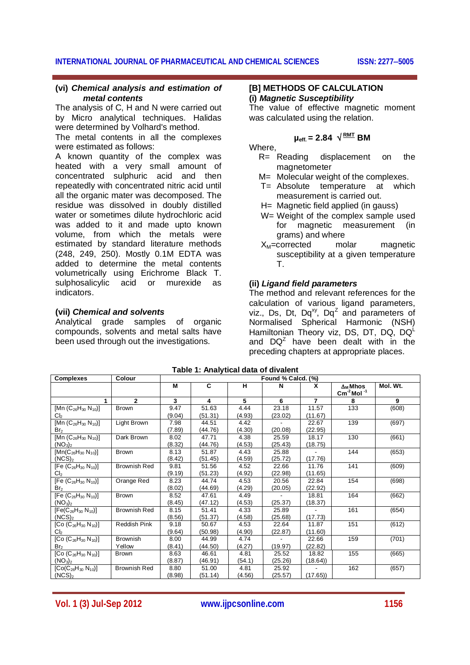#### **(vi)** *Chemical analysis and estimation of metal contents*

The analysis of C, H and N were carried out by Micro analytical techniques. Halidas were determined by Volhard's method.

The metal contents in all the complexes were estimated as follows:

A known quantity of the complex was heated with a very small amount of concentrated sulphuric acid and then repeatedly with concentrated nitric acid until all the organic mater was decomposed. The residue was dissolved in doubly distilled water or sometimes dilute hydrochloric acid was added to it and made upto known volume, from which the metals were estimated by standard literature methods (248, 249, 250). Mostly 0.1M EDTA was added to determine the metal contents volumetrically using Erichrome Black T. sulphosalicylic acid or murexide as indicators.

# **(vii)** *Chemical and solvents*

Analytical grade samples of organic compounds, solvents and metal salts have been used through out the investigations.

#### **[B] METHODS OF CALCULATION (i)** *Magnetic Susceptibility*

The value of effective magnetic moment was calculated using the relation.

# $\mu_{\text{eff.}}$  = 2.84  $\sqrt{\frac{\text{RMT}}{}}$  BM

# Where,

- R= Reading displacement on the magnetometer
- M= Molecular weight of the complexes.
- T= Absolute temperature at which measurement is carried out.
- H = Magnetic field applied (in gauss)
- W= Weight of the complex sample used for magnetic measurement (in grams) and where<br>corrected molar
- $X_M$ =corrected molar magnetic susceptibility at a given temperature T.

# **(ii)** *Ligand field parameters*

The method and relevant references for the calculation of various ligand parameters, viz., Ds, Dt, Dq<sup>xy</sup>, Dq<sup>z</sup> and parameters of Normalised Spherical Harmonic (NSH) Hamiltonian Theory viz, DS, DT, DQ, DQ<sup>L</sup> and  $DQ^Z$  have been dealt with in the preceding chapters at appropriate places.

| <b>Complexes</b>                                        | Colour              | Found % Calcd. (%)      |         |        |                          |                |                                                               |          |
|---------------------------------------------------------|---------------------|-------------------------|---------|--------|--------------------------|----------------|---------------------------------------------------------------|----------|
|                                                         |                     | М                       | C       | н      | N                        | x              | $\Delta_M$ Mhos<br>$\overline{\text{Cm}}^2$ Mol <sup>-1</sup> | Mol. Wt. |
| 1                                                       | $\mathbf{2}$        | $\overline{\mathbf{3}}$ | 4       | 5      | 6                        | $\overline{7}$ | 8                                                             | 9        |
| [Mn $(C_{26}H_{30} N_{10})$ ]                           | <b>Brown</b>        | 9.47                    | 51.63   | 4.44   | 23.18                    | 11.57          | 133                                                           | (608)    |
| Cl <sub>2</sub>                                         |                     | (9.04)                  | (51.31) | (4.93) | (23.02)                  | (11.67)        |                                                               |          |
| [Mn $(C_{26}H_{30} N_{10})$ ]                           | Light Brown         | 7.98                    | 44.51   | 4.42   |                          | 22.67          | 139                                                           | (697)    |
| Br <sub>2</sub>                                         |                     | (7.89)                  | (44.76) | (4.30) | (20.08)                  | (22.95)        |                                                               |          |
| [Mn $(C_{26}H_{30} N_{10})$ ]                           | Dark Brown          | 8.02                    | 47.71   | 4.38   | 25.59                    | 18.17          | 130                                                           | (661)    |
| (NO <sub>3</sub> ) <sub>2</sub>                         |                     | (8.32)                  | (44.76) | (4.53) | (25.43)                  | (18.75)        |                                                               |          |
| $[Mn(C_{26}H_{30} N_{10})]$                             | <b>Brown</b>        | 8.13                    | 51.87   | 4.43   | 25.88                    |                | 144                                                           | (653)    |
| $(NCS)_2$                                               |                     | (8.42)                  | (51.45) | (4.59) | (25.72)                  | (17.76)        |                                                               |          |
| [Fe $(C_{26}H_{30} N_{10})$ ]                           | <b>Brownish Red</b> | 9.81                    | 51.56   | 4.52   | 22.66                    | 11.76          | 141                                                           | (609)    |
| Cl <sub>2</sub>                                         |                     | (9.19)                  | (51.23) | (4.92) | (22.98)                  | (11.65)        |                                                               |          |
| [Fe $(C_{26}H_{30} N_{10})$ ]                           | Orange Red          | 8.23                    | 44.74   | 4.53   | 20.56                    | 22.84          | 154                                                           | (698)    |
| Br <sub>2</sub>                                         |                     | (8.02)                  | (44.69) | (4.29) | (20.05)                  | (22.92)        |                                                               |          |
| [Fe $(C_{26}H_{30} N_{10})$ ]                           | Brown               | 8.52                    | 47.61   | 4.49   |                          | 18.81          | 164                                                           | (662)    |
| (NO <sub>3</sub> ) <sub>2</sub>                         |                     | (8.45)                  | (47.12) | (4.53) | (25.37)                  | (18.37)        |                                                               |          |
| $[Fe(C_{26}H_{30} N_{10})]$                             | <b>Brownish Red</b> | 8.15                    | 51.41   | 4.33   | 25.89                    |                | 161                                                           | (654)    |
| (NCS) <sub>2</sub>                                      |                     | (8.56)                  | (51.37) | (4.58) | (25.68)                  | (17.73)        |                                                               |          |
| [Co (C <sub>26</sub> H <sub>30</sub> N <sub>10</sub> )] | <b>Reddish Pink</b> | 9.18                    | 50.67   | 4.53   | 22.64                    | 11.87          | 151                                                           | (612)    |
| Cl <sub>2</sub>                                         |                     | (9.64)                  | (50.98) | (4.90) | (22.87)                  | (11.60)        |                                                               |          |
| [Co $(C_{26}H_{30}N_{10})$ ]                            | <b>Brownish</b>     | 8.00                    | 44.99   | 4.74   | $\overline{\phantom{a}}$ | 22.66          | 159                                                           | (701)    |
| Br <sub>2</sub>                                         | Yellow              | (8.41)                  | (44.50) | (4.27) | (19.97)                  | (22.82)        |                                                               |          |
| [Co $(C_{26}H_{30}N_{10})$ ]                            | <b>Brown</b>        | 8.63                    | 46.61   | 4.81   | 25.52                    | 18.82          | 155                                                           | (665)    |
| (NO <sub>3</sub> ) <sub>2</sub>                         |                     | (8.87)                  | (46.91) | (54.1) | (25.26)                  | (18.64)        |                                                               |          |
| $[Co(C_{26}H_{30} N_{10})]$                             | <b>Brownish Red</b> | 8.80                    | 51.00   | 4.81   | 25.92                    |                | 162                                                           | (657)    |
| $(NCS)_2$                                               |                     | (8.98)                  | (51.14) | (4.56) | (25.57)                  | (17.65)        |                                                               |          |

**Table 1: Analytical data of divalent**

**Vol. 1 (3) Jul-Sep 2012 www.ijpcsonline.com 1156**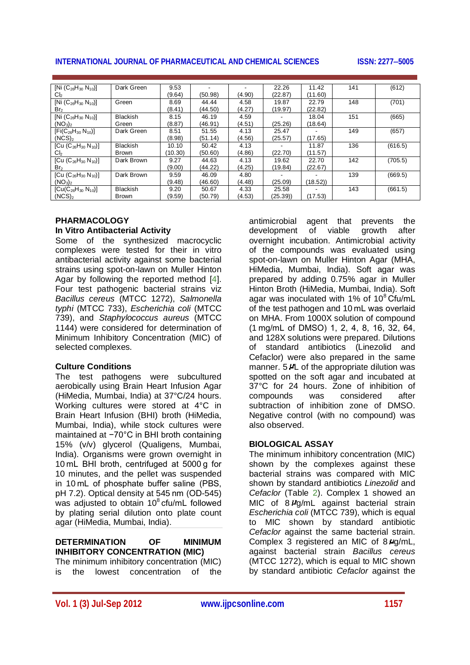# **INTERNATIONAL JOURNAL OF PHARMACEUTICAL AND CHEMICAL SCIENCES ISSN: 22775005**

| [Ni $(C_{26}H_{30} N_{10})$ ]   | Dark Green      | 9.53    |         |        | 22.26   | 11.42   | 141 | (612)   |
|---------------------------------|-----------------|---------|---------|--------|---------|---------|-----|---------|
| Cl <sub>2</sub>                 |                 | (9.64)  | (50.98) | (4.90) | (22.87) | (11.60) |     |         |
| [Ni $(C_{26}H_{30} N_{10})$ ]   | Green           | 8.69    | 44.44   | 4.58   | 19.87   | 22.79   | 148 | (701)   |
| Br <sub>2</sub>                 |                 | (8.41)  | (44.50) | (4.27) | (19.97) | (22.82) |     |         |
| [Ni $(C_{26}H_{30} N_{10})$ ]   | <b>Blackish</b> | 8.15    | 46.19   | 4.59   |         | 18.04   | 151 | (665)   |
| (NO <sub>3</sub> ) <sub>2</sub> | Green           | (8.87)  | (46.91) | (4.51) | (25.26) | (18.64) |     |         |
| $[Fi(C_{26}H_{30} N_{10})]$     | Dark Green      | 8.51    | 51.55   | 4.13   | 25.47   |         | 149 | (657)   |
| (NCS) <sub>2</sub>              |                 | (8.98)  | (51.14) | (4.56) | (25.57) | (17.65) |     |         |
| [Cu $(C_{26}H_{30}N_{10})$ ]    | <b>Blackish</b> | 10.10   | 50.42   | 4.13   |         | 11.87   | 136 | (616.5) |
| Cl <sub>2</sub>                 | Brown           | (10.30) | (50.60) | (4.86) | (22.70) | (11.57) |     |         |
| [Cu $(C_{26}H_{30} N_{10})$ ]   | Dark Brown      | 9.27    | 44.63   | 4.13   | 19.62   | 22.70   | 142 | (705.5) |
| Br <sub>2</sub>                 |                 | (9.00)  | (44.22) | (4.25) | (19.84) | (22.67) |     |         |
| [Cu $(C_{26}H_{30}N_{10})$ ]    | Dark Brown      | 9.59    | 46.09   | 4.80   |         |         | 139 | (669.5) |
| (NO <sub>3</sub> ) <sub>2</sub> |                 | (9.48)  | (46.60) | (4.48) | (25.09) | (18.52) |     |         |
| $[Cu(C_{26}H_{30} N_{10})]$     | <b>Blackish</b> | 9.20    | 50.67   | 4.33   | 25.58   |         | 143 | (661.5) |
| $(NCS)_2$                       | Brown           | (9.59)  | (50.79) | (4.53) | (25.39) | (17.53) |     |         |

#### **PHARMACOLOGY In Vitro Antibacterial Activity**

Some of the synthesized macrocyclic complexes were tested for their in vitro antibacterial activity against some bacterial strains using spot-on-lawn on Muller Hinton Agar by following the reported method [4]. Four test pathogenic bacterial strains viz *Bacillus cereus* (MTCC 1272), *Salmonella typhi* (MTCC 733), *Escherichia coli* (MTCC 739), and *Staphylococcus aureus* (MTCC 1144) were considered for determination of Minimum Inhibitory Concentration (MIC) of selected complexes.

# **Culture Conditions**

The test pathogens were subcultured aerobically using Brain Heart Infusion Agar (HiMedia, Mumbai, India) at 37°C/24 hours. Working cultures were stored at 4°C in Brain Heart Infusion (BHI) broth (HiMedia, Mumbai, India), while stock cultures were maintained at −70°C in BHI broth containing 15% (v/v) glycerol (Qualigens, Mumbai, India). Organisms were grown overnight in 10 mL BHI broth, centrifuged at 5000 g for 10 minutes, and the pellet was suspended in 10 mL of phosphate buffer saline (PBS, pH 7.2). Optical density at 545 nm (OD-545) was adjusted to obtain 10<sup>8</sup> cfu/mL followed by plating serial dilution onto plate count agar (HiMedia, Mumbai, India).

# **DETERMINATION OF MINIMUM INHIBITORY CONCENTRATION (MIC)**

The minimum inhibitory concentration (MIC) is the lowest concentration of the

antimicrobial agent that prevents the development of viable growth after overnight incubation. Antimicrobial activity of the compounds was evaluated using spot-on-lawn on Muller Hinton Agar (MHA, HiMedia, Mumbai, India). Soft agar was prepared by adding 0.75% agar in Muller Hinton Broth (HiMedia, Mumbai, India). Soft agar was inoculated with 1% of 10<sup>8</sup> Cfu/mL of the test pathogen and 10 mL was overlaid on MHA. From 1000X solution of compound (1 mg/mL of DMSO) 1, 2, 4, 8, 16, 32, 64, and 128X solutions were prepared. Dilutions of standard antibiotics (Linezolid and Cefaclor) were also prepared in the same manner. 5 PL of the appropriate dilution was spotted on the soft agar and incubated at 37°C for 24 hours. Zone of inhibition of<br>compounds was considered after compounds was considered after subtraction of inhibition zone of DMSO. Negative control (with no compound) was also observed.

# **BIOLOGICAL ASSAY**

The minimum inhibitory concentration (MIC) shown by the complexes against these bacterial strains was compared with MIC shown by standard antibiotics *Linezolid* and *Cefaclor* (Table 2). Complex 1 showed an MIC of 8  $\mu$ g/mL against bacterial strain *Escherichia coli* (MTCC 739), which is equal to MIC shown by standard antibiotic *Cefaclor* against the same bacterial strain. Complex 3 registered an MIC of 8 Hg/mL, against bacterial strain *Bacillus cereus* (MTCC 1272), which is equal to MIC shown by standard antibiotic *Cefaclor* against the